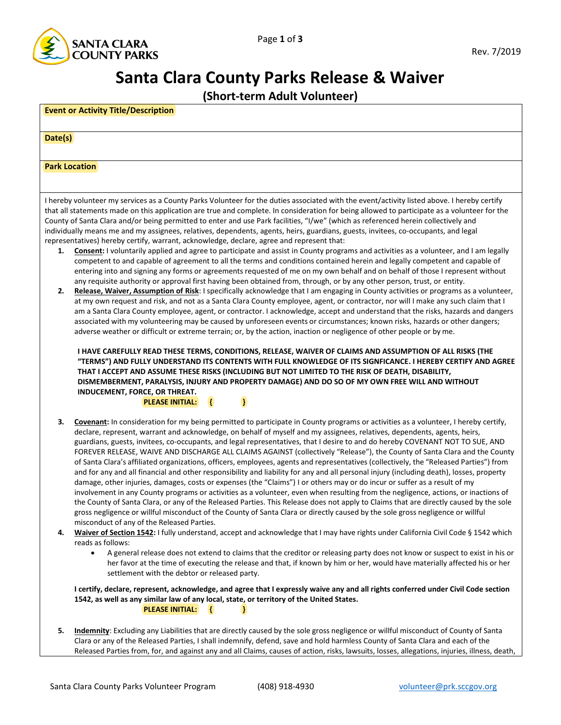

## **Santa Clara County Parks Release & Waiver**

**(Short-term Adult Volunteer)**

| (Short-term Adult Volunteer)                                                                                                                                                                                                                                                                                                                                                                                                                                                                                                                                                                                                                                                                                                                                                                                                                                                                                                                                                                                                                                                                                                                                                                                                                                                                                                                                                                                                                                                                                                                                                                                                                                                                                                                                                                                                                                                                                                                                                                                                                              |  |  |  |
|-----------------------------------------------------------------------------------------------------------------------------------------------------------------------------------------------------------------------------------------------------------------------------------------------------------------------------------------------------------------------------------------------------------------------------------------------------------------------------------------------------------------------------------------------------------------------------------------------------------------------------------------------------------------------------------------------------------------------------------------------------------------------------------------------------------------------------------------------------------------------------------------------------------------------------------------------------------------------------------------------------------------------------------------------------------------------------------------------------------------------------------------------------------------------------------------------------------------------------------------------------------------------------------------------------------------------------------------------------------------------------------------------------------------------------------------------------------------------------------------------------------------------------------------------------------------------------------------------------------------------------------------------------------------------------------------------------------------------------------------------------------------------------------------------------------------------------------------------------------------------------------------------------------------------------------------------------------------------------------------------------------------------------------------------------------|--|--|--|
| <b>Event or Activity Title/Description</b>                                                                                                                                                                                                                                                                                                                                                                                                                                                                                                                                                                                                                                                                                                                                                                                                                                                                                                                                                                                                                                                                                                                                                                                                                                                                                                                                                                                                                                                                                                                                                                                                                                                                                                                                                                                                                                                                                                                                                                                                                |  |  |  |
| Date(s)                                                                                                                                                                                                                                                                                                                                                                                                                                                                                                                                                                                                                                                                                                                                                                                                                                                                                                                                                                                                                                                                                                                                                                                                                                                                                                                                                                                                                                                                                                                                                                                                                                                                                                                                                                                                                                                                                                                                                                                                                                                   |  |  |  |
| <b>Park Location</b>                                                                                                                                                                                                                                                                                                                                                                                                                                                                                                                                                                                                                                                                                                                                                                                                                                                                                                                                                                                                                                                                                                                                                                                                                                                                                                                                                                                                                                                                                                                                                                                                                                                                                                                                                                                                                                                                                                                                                                                                                                      |  |  |  |
|                                                                                                                                                                                                                                                                                                                                                                                                                                                                                                                                                                                                                                                                                                                                                                                                                                                                                                                                                                                                                                                                                                                                                                                                                                                                                                                                                                                                                                                                                                                                                                                                                                                                                                                                                                                                                                                                                                                                                                                                                                                           |  |  |  |
| I hereby volunteer my services as a County Parks Volunteer for the duties associated with the event/activity listed above. I hereby certify<br>that all statements made on this application are true and complete. In consideration for being allowed to participate as a volunteer for the<br>County of Santa Clara and/or being permitted to enter and use Park facilities, "I/we" (which as referenced herein collectively and<br>individually means me and my assignees, relatives, dependents, agents, heirs, guardians, guests, invitees, co-occupants, and legal<br>representatives) hereby certify, warrant, acknowledge, declare, agree and represent that:<br>Consent: I voluntarily applied and agree to participate and assist in County programs and activities as a volunteer, and I am legally<br>1.<br>competent to and capable of agreement to all the terms and conditions contained herein and legally competent and capable of<br>entering into and signing any forms or agreements requested of me on my own behalf and on behalf of those I represent without<br>any requisite authority or approval first having been obtained from, through, or by any other person, trust, or entity.<br>Release, Waiver, Assumption of Risk: I specifically acknowledge that I am engaging in County activities or programs as a volunteer,<br>2.<br>at my own request and risk, and not as a Santa Clara County employee, agent, or contractor, nor will I make any such claim that I<br>am a Santa Clara County employee, agent, or contractor. I acknowledge, accept and understand that the risks, hazards and dangers<br>associated with my volunteering may be caused by unforeseen events or circumstances; known risks, hazards or other dangers;<br>adverse weather or difficult or extreme terrain; or, by the action, inaction or negligence of other people or by me.<br>I HAVE CAREFULLY READ THESE TERMS, CONDITIONS, RELEASE, WAIVER OF CLAIMS AND ASSUMPTION OF ALL RISKS (THE                                                  |  |  |  |
| "TERMS") AND FULLY UNDERSTAND ITS CONTENTS WITH FULL KNOWLEDGE OF ITS SIGNFICANCE. I HEREBY CERTIFY AND AGREE<br>THAT I ACCEPT AND ASSUME THESE RISKS (INCLUDING BUT NOT LIMITED TO THE RISK OF DEATH, DISABILITY,<br>DISMEMBERMENT, PARALYSIS, INJURY AND PROPERTY DAMAGE) AND DO SO OF MY OWN FREE WILL AND WITHOUT<br>INDUCEMENT, FORCE, OR THREAT.<br>$\left\{ \right.$<br>}<br><b>PLEASE INITIAL:</b>                                                                                                                                                                                                                                                                                                                                                                                                                                                                                                                                                                                                                                                                                                                                                                                                                                                                                                                                                                                                                                                                                                                                                                                                                                                                                                                                                                                                                                                                                                                                                                                                                                                |  |  |  |
| Covenant: In consideration for my being permitted to participate in County programs or activities as a volunteer, I hereby certify,<br>З.<br>declare, represent, warrant and acknowledge, on behalf of myself and my assignees, relatives, dependents, agents, heirs,<br>guardians, guests, invitees, co-occupants, and legal representatives, that I desire to and do hereby COVENANT NOT TO SUE, AND<br>FOREVER RELEASE, WAIVE AND DISCHARGE ALL CLAIMS AGAINST (collectively "Release"), the County of Santa Clara and the County<br>of Santa Clara's affiliated organizations, officers, employees, agents and representatives (collectively, the "Released Parties") from<br>and for any and all financial and other responsibility and liability for any and all personal injury (including death), losses, property<br>damage, other injuries, damages, costs or expenses (the "Claims") I or others may or do incur or suffer as a result of my<br>involvement in any County programs or activities as a volunteer, even when resulting from the negligence, actions, or inactions of<br>the County of Santa Clara, or any of the Released Parties. This Release does not apply to Claims that are directly caused by the sole<br>gross negligence or willful misconduct of the County of Santa Clara or directly caused by the sole gross negligence or willful<br>misconduct of any of the Released Parties.<br>Waiver of Section 1542: I fully understand, accept and acknowledge that I may have rights under California Civil Code § 1542 which<br>4.<br>reads as follows:<br>A general release does not extend to claims that the creditor or releasing party does not know or suspect to exist in his or<br>$\bullet$<br>her favor at the time of executing the release and that, if known by him or her, would have materially affected his or her<br>settlement with the debtor or released party.<br>I certify, declare, represent, acknowledge, and agree that I expressly waive any and all rights conferred under Civil Code section |  |  |  |
| 1542, as well as any similar law of any local, state, or territory of the United States.<br><b>PLEASE INITIAL:</b><br>$\overline{A}$<br>-1                                                                                                                                                                                                                                                                                                                                                                                                                                                                                                                                                                                                                                                                                                                                                                                                                                                                                                                                                                                                                                                                                                                                                                                                                                                                                                                                                                                                                                                                                                                                                                                                                                                                                                                                                                                                                                                                                                                |  |  |  |
| Indemnity: Excluding any Liabilities that are directly caused by the sole gross negligence or willful misconduct of County of Santa<br>5.<br>Clara or any of the Released Parties, I shall indemnify, defend, save and hold harmless County of Santa Clara and each of the<br>Released Parties from, for, and against any and all Claims, causes of action, risks, lawsuits, losses, allegations, injuries, illness, death,                                                                                                                                                                                                                                                                                                                                                                                                                                                                                                                                                                                                                                                                                                                                                                                                                                                                                                                                                                                                                                                                                                                                                                                                                                                                                                                                                                                                                                                                                                                                                                                                                               |  |  |  |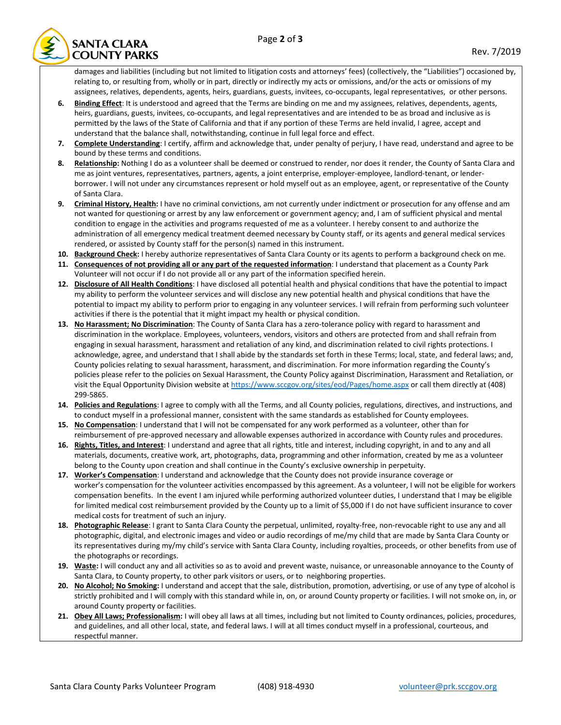

damages and liabilities (including but not limited to litigation costs and attorneys' fees) (collectively, the "Liabilities") occasioned by, relating to, or resulting from, wholly or in part, directly or indirectly my acts or omissions, and/or the acts or omissions of my assignees, relatives, dependents, agents, heirs, guardians, guests, invitees, co-occupants, legal representatives, or other persons.

- **6. Binding Effect**: It is understood and agreed that the Terms are binding on me and my assignees, relatives, dependents, agents, heirs, guardians, guests, invitees, co-occupants, and legal representatives and are intended to be as broad and inclusive as is permitted by the laws of the State of California and that if any portion of these Terms are held invalid, I agree, accept and understand that the balance shall, notwithstanding, continue in full legal force and effect.
- **7. Complete Understanding**: I certify, affirm and acknowledge that, under penalty of perjury, I have read, understand and agree to be bound by these terms and conditions.
- 8. Relationship: Nothing I do as a volunteer shall be deemed or construed to render, nor does it render, the County of Santa Clara and me as joint ventures, representatives, partners, agents, a joint enterprise, employer-employee, landlord-tenant, or lenderborrower. I will not under any circumstances represent or hold myself out as an employee, agent, or representative of the County of Santa Clara.
- **9. Criminal History, Health:** I have no criminal convictions, am not currently under indictment or prosecution for any offense and am not wanted for questioning or arrest by any law enforcement or government agency; and, I am of sufficient physical and mental condition to engage in the activities and programs requested of me as a volunteer. I hereby consent to and authorize the administration of all emergency medical treatment deemed necessary by County staff, or its agents and general medical services rendered, or assisted by County staff for the person(s) named in this instrument.
- **10. Background Check:** I hereby authorize representatives of Santa Clara County or its agents to perform a background check on me.
- **11. Consequences of not providing all or any part of the requested information**: I understand that placement as a County Park Volunteer will not occur if I do not provide all or any part of the information specified herein.
- **12. Disclosure of All Health Conditions**: I have disclosed all potential health and physical conditions that have the potential to impact my ability to perform the volunteer services and will disclose any new potential health and physical conditions that have the potential to impact my ability to perform prior to engaging in any volunteer services. I will refrain from performing such volunteer activities if there is the potential that it might impact my health or physical condition.
- **13. No Harassment; No Discrimination**: The County of Santa Clara has a zero-tolerance policy with regard to harassment and discrimination in the workplace. Employees, volunteers, vendors, visitors and others are protected from and shall refrain from engaging in sexual harassment, harassment and retaliation of any kind, and discrimination related to civil rights protections. I acknowledge, agree, and understand that I shall abide by the standards set forth in these Terms; local, state, and federal laws; and, County policies relating to sexual harassment, harassment, and discrimination. For more information regarding the County's policies please refer to the policies on Sexual Harassment, the County Policy against Discrimination, Harassment and Retaliation, or visit the Equal Opportunity Division website a[t https://www.sccgov.org/sites/eod/Pages/home.aspx](https://www.sccgov.org/sites/eod/Pages/home.aspx) or call them directly at (408) 299-5865.
- **14. Policies and Regulations**: I agree to comply with all the Terms, and all County policies, regulations, directives, and instructions, and to conduct myself in a professional manner, consistent with the same standards as established for County employees.
- **15. No Compensation**: I understand that I will not be compensated for any work performed as a volunteer, other than for reimbursement of pre-approved necessary and allowable expenses authorized in accordance with County rules and procedures.
- **16. Rights, Titles, and Interest**: I understand and agree that all rights, title and interest, including copyright, in and to any and all materials, documents, creative work, art, photographs, data, programming and other information, created by me as a volunteer belong to the County upon creation and shall continue in the County's exclusive ownership in perpetuity.
- **17. Worker's Compensation**: I understand and acknowledge that the County does not provide insurance coverage or worker's compensation for the volunteer activities encompassed by this agreement. As a volunteer, I will not be eligible for workers compensation benefits. In the event I am injured while performing authorized volunteer duties, I understand that I may be eligible for limited medical cost reimbursement provided by the County up to a limit of \$5,000 if I do not have sufficient insurance to cover medical costs for treatment of such an injury.
- **18. Photographic Release**: I grant to Santa Clara County the perpetual, unlimited, royalty-free, non-revocable right to use any and all photographic, digital, and electronic images and video or audio recordings of me/my child that are made by Santa Clara County or its representatives during my/my child's service with Santa Clara County, including royalties, proceeds, or other benefits from use of the photographs or recordings.
- **19. Waste:** I will conduct any and all activities so as to avoid and prevent waste, nuisance, or unreasonable annoyance to the County of Santa Clara, to County property, to other park visitors or users, or to neighboring properties.
- **20. No Alcohol; No Smoking:** I understand and accept that the sale, distribution, promotion, advertising, or use of any type of alcohol is strictly prohibited and I will comply with this standard while in, on, or around County property or facilities. I will not smoke on, in, or around County property or facilities.
- **21. Obey All Laws; Professionalism:** I will obey all laws at all times, including but not limited to County ordinances, policies, procedures, and guidelines, and all other local, state, and federal laws. I will at all times conduct myself in a professional, courteous, and respectful manner.